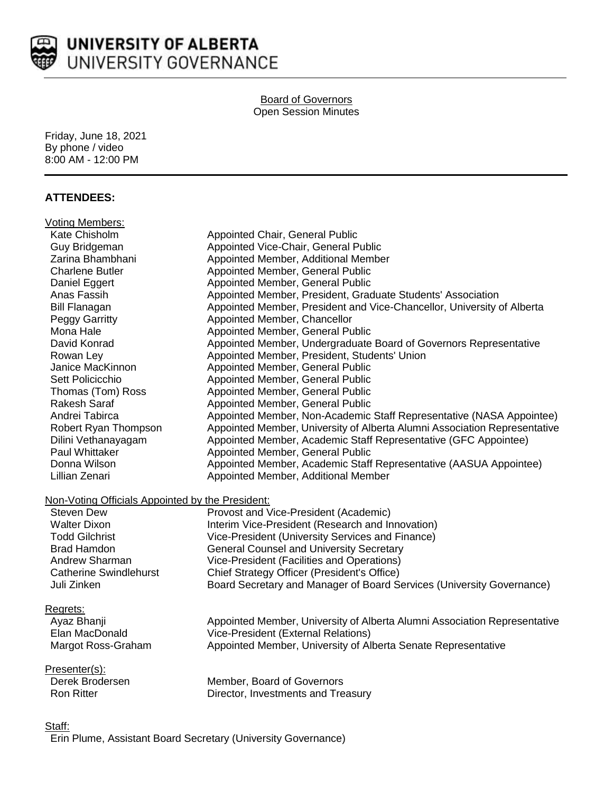

#### Board of Governors Open Session Minutes

Friday, June 18, 2021 By phone / video 8:00 AM - 12:00 PM

## **ATTENDEES:**

| <b>Voting Members:</b>                                                |                                                                                                     |
|-----------------------------------------------------------------------|-----------------------------------------------------------------------------------------------------|
| Kate Chisholm                                                         | Appointed Chair, General Public                                                                     |
| Guy Bridgeman                                                         | Appointed Vice-Chair, General Public                                                                |
| Zarina Bhambhani                                                      | Appointed Member, Additional Member                                                                 |
| <b>Charlene Butler</b>                                                | Appointed Member, General Public                                                                    |
| Daniel Eggert                                                         | Appointed Member, General Public                                                                    |
| Anas Fassih                                                           | Appointed Member, President, Graduate Students' Association                                         |
| <b>Bill Flanagan</b>                                                  | Appointed Member, President and Vice-Chancellor, University of Alberta                              |
| Peggy Garritty                                                        | Appointed Member, Chancellor                                                                        |
| Mona Hale                                                             | Appointed Member, General Public                                                                    |
| David Konrad                                                          | Appointed Member, Undergraduate Board of Governors Representative                                   |
| Rowan Ley                                                             | Appointed Member, President, Students' Union                                                        |
| Janice MacKinnon                                                      | Appointed Member, General Public                                                                    |
| Sett Policicchio                                                      | Appointed Member, General Public                                                                    |
| Thomas (Tom) Ross                                                     | Appointed Member, General Public                                                                    |
| <b>Rakesh Saraf</b>                                                   | Appointed Member, General Public                                                                    |
| Andrei Tabirca                                                        | Appointed Member, Non-Academic Staff Representative (NASA Appointee)                                |
| Robert Ryan Thompson                                                  | Appointed Member, University of Alberta Alumni Association Representative                           |
| Dilini Vethanayagam                                                   | Appointed Member, Academic Staff Representative (GFC Appointee)                                     |
| Paul Whittaker                                                        | Appointed Member, General Public                                                                    |
| Donna Wilson                                                          | Appointed Member, Academic Staff Representative (AASUA Appointee)                                   |
| Lillian Zenari                                                        | Appointed Member, Additional Member                                                                 |
|                                                                       |                                                                                                     |
| Non-Voting Officials Appointed by the President:<br><b>Steven Dew</b> |                                                                                                     |
| <b>Walter Dixon</b>                                                   | Provost and Vice-President (Academic)                                                               |
| <b>Todd Gilchrist</b>                                                 | Interim Vice-President (Research and Innovation)                                                    |
| <b>Brad Hamdon</b>                                                    | Vice-President (University Services and Finance)<br><b>General Counsel and University Secretary</b> |
| Andrew Sharman                                                        | Vice-President (Facilities and Operations)                                                          |
| <b>Catherine Swindlehurst</b>                                         | Chief Strategy Officer (President's Office)                                                         |
| Juli Zinken                                                           |                                                                                                     |
|                                                                       | Board Secretary and Manager of Board Services (University Governance)                               |
| Regrets:                                                              |                                                                                                     |
| Ayaz Bhanji                                                           | Appointed Member, University of Alberta Alumni Association Representative                           |
| Elan MacDonald                                                        | Vice-President (External Relations)                                                                 |
| Margot Ross-Graham                                                    | Appointed Member, University of Alberta Senate Representative                                       |
| Presenter(s):                                                         |                                                                                                     |
| Derek Brodersen                                                       | Member, Board of Governors                                                                          |
| <b>Ron Ritter</b>                                                     | Director, Investments and Treasury                                                                  |
|                                                                       |                                                                                                     |
|                                                                       |                                                                                                     |

Staff:

Erin Plume, Assistant Board Secretary (University Governance)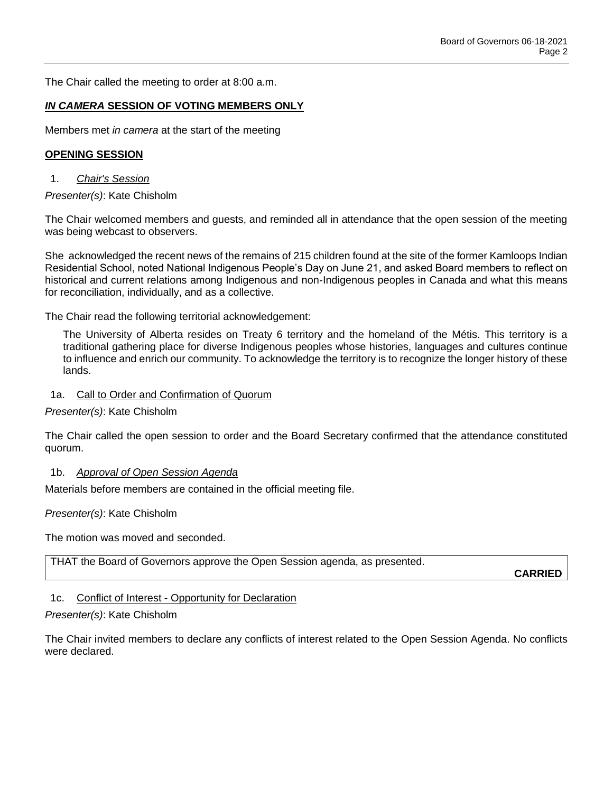The Chair called the meeting to order at 8:00 a.m.

#### *IN CAMERA* **SESSION OF VOTING MEMBERS ONLY**

Members met *in camera* at the start of the meeting

#### **OPENING SESSION**

1. *Chair's Session*

*Presenter(s)*: Kate Chisholm

The Chair welcomed members and guests, and reminded all in attendance that the open session of the meeting was being webcast to observers.

She acknowledged the recent news of the remains of 215 children found at the site of the former Kamloops Indian Residential School, noted National Indigenous People's Day on June 21, and asked Board members to reflect on historical and current relations among Indigenous and non-Indigenous peoples in Canada and what this means for reconciliation, individually, and as a collective.

The Chair read the following territorial acknowledgement:

The University of Alberta resides on Treaty 6 territory and the homeland of the Métis. This territory is a traditional gathering place for diverse Indigenous peoples whose histories, languages and cultures continue to influence and enrich our community. To acknowledge the territory is to recognize the longer history of these lands.

#### 1a. Call to Order and Confirmation of Quorum

*Presenter(s)*: Kate Chisholm

The Chair called the open session to order and the Board Secretary confirmed that the attendance constituted quorum.

#### 1b. *Approval of Open Session Agenda*

Materials before members are contained in the official meeting file.

*Presenter(s)*: Kate Chisholm

The motion was moved and seconded.

THAT the Board of Governors approve the Open Session agenda, as presented.

**CARRIED**

### 1c. Conflict of Interest - Opportunity for Declaration

#### *Presenter(s)*: Kate Chisholm

The Chair invited members to declare any conflicts of interest related to the Open Session Agenda. No conflicts were declared.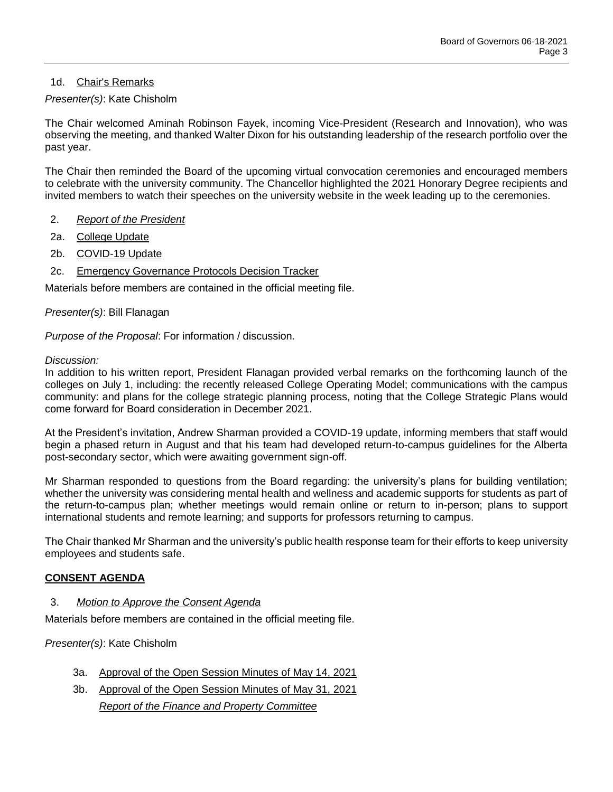## 1d. Chair's Remarks

## *Presenter(s)*: Kate Chisholm

The Chair welcomed Aminah Robinson Fayek, incoming Vice-President (Research and Innovation), who was observing the meeting, and thanked Walter Dixon for his outstanding leadership of the research portfolio over the past year.

The Chair then reminded the Board of the upcoming virtual convocation ceremonies and encouraged members to celebrate with the university community. The Chancellor highlighted the 2021 Honorary Degree recipients and invited members to watch their speeches on the university website in the week leading up to the ceremonies.

- 2. *Report of the President*
- 2a. College Update
- 2b. COVID-19 Update
- 2c. Emergency Governance Protocols Decision Tracker

Materials before members are contained in the official meeting file.

### *Presenter(s)*: Bill Flanagan

*Purpose of the Proposal*: For information / discussion.

#### *Discussion:*

In addition to his written report, President Flanagan provided verbal remarks on the forthcoming launch of the colleges on July 1, including: the recently released College Operating Model; communications with the campus community: and plans for the college strategic planning process, noting that the College Strategic Plans would come forward for Board consideration in December 2021.

At the President's invitation, Andrew Sharman provided a COVID-19 update, informing members that staff would begin a phased return in August and that his team had developed return-to-campus guidelines for the Alberta post-secondary sector, which were awaiting government sign-off.

Mr Sharman responded to questions from the Board regarding: the university's plans for building ventilation; whether the university was considering mental health and wellness and academic supports for students as part of the return-to-campus plan; whether meetings would remain online or return to in-person; plans to support international students and remote learning; and supports for professors returning to campus.

The Chair thanked Mr Sharman and the university's public health response team for their efforts to keep university employees and students safe.

### **CONSENT AGENDA**

3. *Motion to Approve the Consent Agenda*

Materials before members are contained in the official meeting file.

### *Presenter(s)*: Kate Chisholm

- 3a. Approval of the Open Session Minutes of May 14, 2021
- 3b. Approval of the Open Session Minutes of May 31, 2021 *Report of the Finance and Property Committee*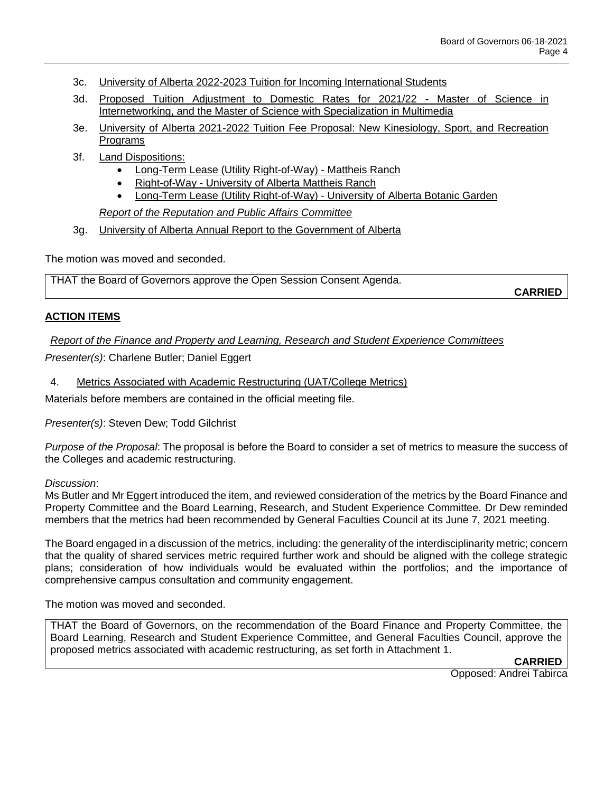- 3c. University of Alberta 2022-2023 Tuition for Incoming International Students
- 3d. Proposed Tuition Adjustment to Domestic Rates for 2021/22 Master of Science in Internetworking, and the Master of Science with Specialization in Multimedia
- 3e. University of Alberta 2021-2022 Tuition Fee Proposal: New Kinesiology, Sport, and Recreation Programs
- 3f. Land Dispositions:
	- Long-Term Lease (Utility Right-of-Way) Mattheis Ranch
	- Right-of-Way University of Alberta Mattheis Ranch
	- Long-Term Lease (Utility Right-of-Way) University of Alberta Botanic Garden

*Report of the Reputation and Public Affairs Committee*

3g. University of Alberta Annual Report to the Government of Alberta

The motion was moved and seconded.

THAT the Board of Governors approve the Open Session Consent Agenda.

**CARRIED**

### **ACTION ITEMS**

*Report of the Finance and Property and Learning, Research and Student Experience Committees*

*Presenter(s)*: Charlene Butler; Daniel Eggert

4. Metrics Associated with Academic Restructuring (UAT/College Metrics)

Materials before members are contained in the official meeting file.

*Presenter(s)*: Steven Dew; Todd Gilchrist

*Purpose of the Proposal*: The proposal is before the Board to consider a set of metrics to measure the success of the Colleges and academic restructuring.

#### *Discussion*:

Ms Butler and Mr Eggert introduced the item, and reviewed consideration of the metrics by the Board Finance and Property Committee and the Board Learning, Research, and Student Experience Committee. Dr Dew reminded members that the metrics had been recommended by General Faculties Council at its June 7, 2021 meeting.

The Board engaged in a discussion of the metrics, including: the generality of the interdisciplinarity metric; concern that the quality of shared services metric required further work and should be aligned with the college strategic plans; consideration of how individuals would be evaluated within the portfolios; and the importance of comprehensive campus consultation and community engagement.

The motion was moved and seconded.

THAT the Board of Governors, on the recommendation of the Board Finance and Property Committee, the Board Learning, Research and Student Experience Committee, and General Faculties Council, approve the proposed metrics associated with academic restructuring, as set forth in Attachment 1.

**CARRIED** Opposed: Andrei Tabirca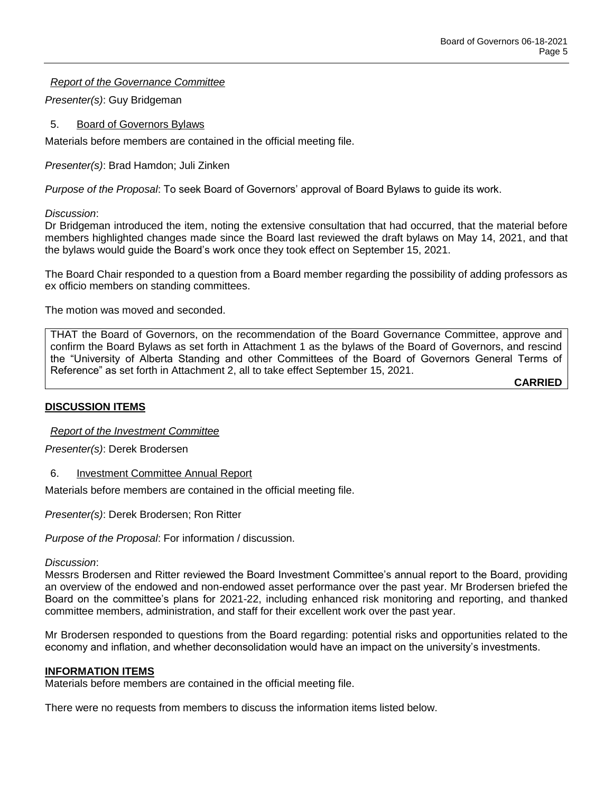*Report of the Governance Committee*

*Presenter(s)*: Guy Bridgeman

## 5. Board of Governors Bylaws

Materials before members are contained in the official meeting file.

*Presenter(s)*: Brad Hamdon; Juli Zinken

*Purpose of the Proposal*: To seek Board of Governors' approval of Board Bylaws to guide its work.

*Discussion*:

Dr Bridgeman introduced the item, noting the extensive consultation that had occurred, that the material before members highlighted changes made since the Board last reviewed the draft bylaws on May 14, 2021, and that the bylaws would guide the Board's work once they took effect on September 15, 2021.

The Board Chair responded to a question from a Board member regarding the possibility of adding professors as ex officio members on standing committees.

The motion was moved and seconded.

THAT the Board of Governors, on the recommendation of the Board Governance Committee, approve and confirm the Board Bylaws as set forth in Attachment 1 as the bylaws of the Board of Governors, and rescind the "University of Alberta Standing and other Committees of the Board of Governors General Terms of Reference" as set forth in Attachment 2, all to take effect September 15, 2021.

**CARRIED**

### **DISCUSSION ITEMS**

*Report of the Investment Committee*

*Presenter(s)*: Derek Brodersen

6. Investment Committee Annual Report

Materials before members are contained in the official meeting file.

*Presenter(s)*: Derek Brodersen; Ron Ritter

*Purpose of the Proposal*: For information / discussion.

### *Discussion*:

Messrs Brodersen and Ritter reviewed the Board Investment Committee's annual report to the Board, providing an overview of the endowed and non-endowed asset performance over the past year. Mr Brodersen briefed the Board on the committee's plans for 2021-22, including enhanced risk monitoring and reporting, and thanked committee members, administration, and staff for their excellent work over the past year.

Mr Brodersen responded to questions from the Board regarding: potential risks and opportunities related to the economy and inflation, and whether deconsolidation would have an impact on the university's investments.

### **INFORMATION ITEMS**

Materials before members are contained in the official meeting file.

There were no requests from members to discuss the information items listed below.